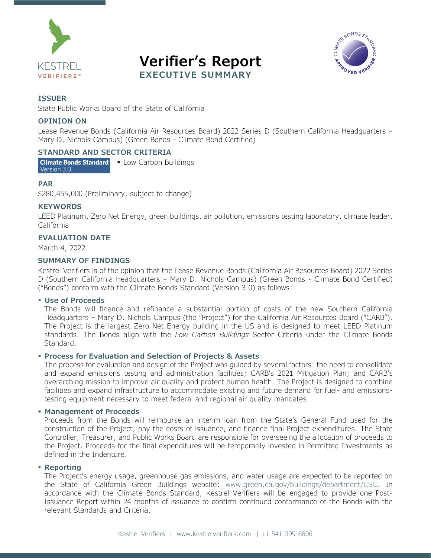





#### **ISSUER**

State Public Works Board of the State of California

#### **OPINION ON**

Lease Revenue Bonds (California Air Resources Board) 2022 Series D (Southern California Headquarters – Mary D. Nichols Campus) (Green Bonds - Climate Bond Certified)

#### **STANDARD AND SECTOR CRITERIA**

Climate Bonds Standard - Low Carbon Buildings Version 3.0

#### **PAR**

\$280,455,000 (Preliminary, subject to change)

#### **KEYWORDS**

LEED Platinum, Zero Net Energy, green buildings, air pollution, emissions testing laboratory, climate leader, California

#### **EVALUATION DATE**

March 4, 2022

#### **SUMMARY OF FINDINGS**

Kestrel Verifiers is of the opinion that the Lease Revenue Bonds (California Air Resources Board) 2022 Series D (Southern California Headquarters – Mary D. Nichols Campus) (Green Bonds - Climate Bond Certified) ("Bonds") conform with the Climate Bonds Standard (Version 3.0) as follows:

#### **Use of Proceeds**

The Bonds will finance and refinance a substantial portion of costs of the new Southern California Headquarters – Mary D. Nichols Campus (the "Project") for the California Air Resources Board ("CARB"). The Project is the largest Zero Net Energy building in the US and is designed to meet LEED Platinum standards. The Bonds align with the *Low Carbon Buildings* Sector Criteria under the Climate Bonds Standard.

#### **Process for Evaluation and Selection of Projects & Assets**

The process for evaluation and design of the Project was guided by several factors: the need to consolidate and expand emissions testing and administration facilities; CARB's 2021 Mitigation Plan; and CARB's overarching mission to improve air quality and protect human health. The Project is designed to combine facilities and expand infrastructure to accommodate existing and future demand for fuel- and emissionstesting equipment necessary to meet federal and regional air quality mandates.

#### **Management of Proceeds**

Proceeds from the Bonds will reimburse an interim loan from the State's General Fund used for the construction of the Project, pay the costs of issuance, and finance final Project expenditures. The State Controller, Treasurer, and Public Works Board are responsible for overseeing the allocation of proceeds to the Project. Proceeds for the final expenditures will be temporarily invested in Permitted Investments as defined in the Indenture.

#### **Reporting**

The Project's energy usage, greenhouse gas emissions, and water usage are expected to be reported on the State of California Green Buildings website: [www.green.ca.gov/buildings/department/CSC.](http://www.green.ca.gov/buildings/department/CSC) In accordance with the Climate Bonds Standard, Kestrel Verifiers will be engaged to provide one Post-Issuance Report within 24 months of issuance to confirm continued conformance of the Bonds with the relevant Standards and Criteria.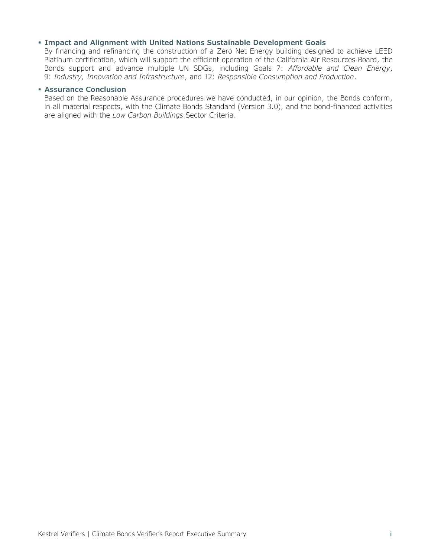#### **Impact and Alignment with United Nations Sustainable Development Goals**

By financing and refinancing the construction of a Zero Net Energy building designed to achieve LEED Platinum certification, which will support the efficient operation of the California Air Resources Board, the Bonds support and advance multiple UN SDGs, including Goals 7: *Affordable and Clean Energy*, 9: *Industry, Innovation and Infrastructure*, and 12: *Responsible Consumption and Production*.

#### **Assurance Conclusion**

Based on the Reasonable Assurance procedures we have conducted, in our opinion, the Bonds conform, in all material respects, with the Climate Bonds Standard (Version 3.0), and the bond-financed activities are aligned with the *Low Carbon Buildings* Sector Criteria.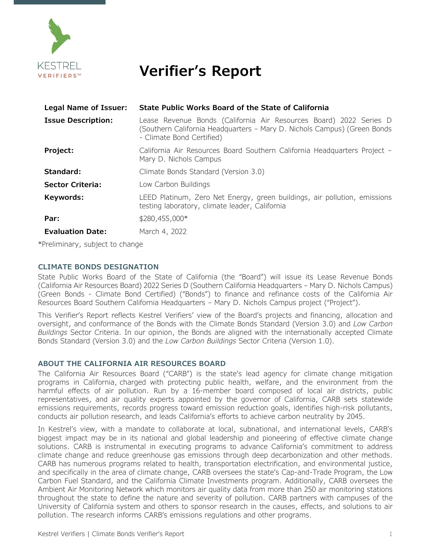

## **Verifier's Report**

| Legal Name of Issuer:     | State Public Works Board of the State of California                                                                                                                         |
|---------------------------|-----------------------------------------------------------------------------------------------------------------------------------------------------------------------------|
| <b>Issue Description:</b> | Lease Revenue Bonds (California Air Resources Board) 2022 Series D<br>(Southern California Headquarters - Mary D. Nichols Campus) (Green Bonds<br>- Climate Bond Certified) |
| Project:                  | California Air Resources Board Southern California Headquarters Project -<br>Mary D. Nichols Campus                                                                         |
| Standard:                 | Climate Bonds Standard (Version 3.0)                                                                                                                                        |
| <b>Sector Criteria:</b>   | Low Carbon Buildings                                                                                                                                                        |
| Keywords:                 | LEED Platinum, Zero Net Energy, green buildings, air pollution, emissions<br>testing laboratory, climate leader, California                                                 |
| Par:                      | \$280,455,000*                                                                                                                                                              |
| <b>Evaluation Date:</b>   | March 4, 2022                                                                                                                                                               |

\*Preliminary, subject to change

#### **CLIMATE BONDS DESIGNATION**

State Public Works Board of the State of California (the "Board") will issue its Lease Revenue Bonds (California Air Resources Board) 2022 Series D (Southern California Headquarters – Mary D. Nichols Campus) (Green Bonds - Climate Bond Certified) ("Bonds") to finance and refinance costs of the California Air Resources Board Southern California Headquarters – Mary D. Nichols Campus project ("Project").

This Verifier's Report reflects Kestrel Verifiers' view of the Board's projects and financing, allocation and oversight, and conformance of the Bonds with the Climate Bonds Standard (Version 3.0) and *Low Carbon Buildings* Sector Criteria. In our opinion, the Bonds are aligned with the internationally accepted Climate Bonds Standard (Version 3.0) and the *Low Carbon Buildings* Sector Criteria (Version 1.0).

#### **ABOUT THE CALIFORNIA AIR RESOURCES BOARD**

The California Air Resources Board ("CARB") is the state's lead agency for climate change mitigation programs in California, charged with protecting public health, welfare, and the environment from the harmful effects of air pollution. Run by a 16-member board composed of local air districts, public representatives, and air quality experts appointed by the governor of California, CARB sets statewide emissions requirements, records progress toward emission reduction goals, identifies high-risk pollutants, conducts air pollution research, and leads California's efforts to achieve carbon neutrality by 2045.

In Kestrel's view, with a mandate to collaborate at local, subnational, and international levels, CARB's biggest impact may be in its national and global leadership and pioneering of effective climate change solutions. CARB is instrumental in executing programs to advance California's commitment to address climate change and reduce greenhouse gas emissions through deep decarbonization and other methods. CARB has numerous programs related to health, transportation electrification, and environmental justice, and specifically in the area of climate change, CARB oversees the state's Cap-and-Trade Program, the Low Carbon Fuel Standard, and the California Climate Investments program. Additionally, CARB oversees the Ambient Air Monitoring Network which monitors air quality data from more than 250 air monitoring stations throughout the state to define the nature and severity of pollution. CARB partners with campuses of the University of California system and others to sponsor research in the causes, effects, and solutions to air pollution. The research informs CARB's emissions regulations and other programs.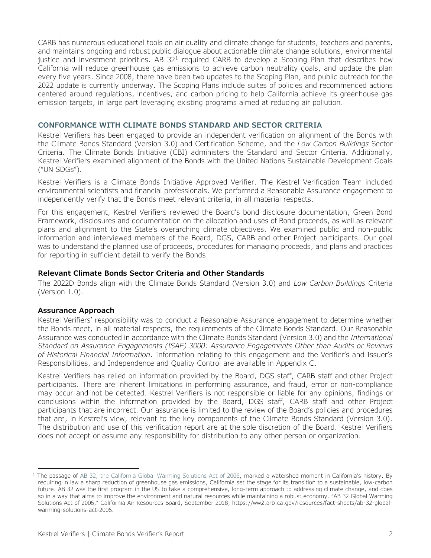CARB has numerous educational tools on air quality and climate change for students, teachers and parents, and maintains ongoing and robust public dialogue about actionable climate change solutions, environmental justice and investment priorities. AB  $32<sup>1</sup>$  $32<sup>1</sup>$  $32<sup>1</sup>$  required CARB to develop a Scoping Plan that describes how California will reduce greenhouse gas emissions to achieve carbon neutrality goals, and update the plan every five years. Since 2008, there have been two updates to the Scoping Plan, and public outreach for the 2022 update is currently underway. The Scoping Plans include suites of policies and recommended actions centered around regulations, incentives, and carbon pricing to help California achieve its greenhouse gas emission targets, in large part leveraging existing programs aimed at reducing air pollution.

#### **CONFORMANCE WITH CLIMATE BONDS STANDARD AND SECTOR CRITERIA**

Kestrel Verifiers has been engaged to provide an independent verification on alignment of the Bonds with the Climate Bonds Standard (Version 3.0) and Certification Scheme, and the *Low Carbon Buildings* Sector Criteria. The Climate Bonds Initiative (CBI) administers the Standard and Sector Criteria. Additionally, Kestrel Verifiers examined alignment of the Bonds with the United Nations Sustainable Development Goals ("UN SDGs").

Kestrel Verifiers is a Climate Bonds Initiative Approved Verifier. The Kestrel Verification Team included environmental scientists and financial professionals. We performed a Reasonable Assurance engagement to independently verify that the Bonds meet relevant criteria, in all material respects.

For this engagement, Kestrel Verifiers reviewed the Board's bond disclosure documentation, Green Bond Framework, disclosures and documentation on the allocation and uses of Bond proceeds, as well as relevant plans and alignment to the State's overarching climate objectives. We examined public and non-public information and interviewed members of the Board, DGS, CARB and other Project participants. Our goal was to understand the planned use of proceeds, procedures for managing proceeds, and plans and practices for reporting in sufficient detail to verify the Bonds.

#### **Relevant Climate Bonds Sector Criteria and Other Standards**

The 2022D Bonds align with the Climate Bonds Standard (Version 3.0) and *Low Carbon Buildings* Criteria (Version 1.0).

#### **Assurance Approach**

Kestrel Verifiers' responsibility was to conduct a Reasonable Assurance engagement to determine whether the Bonds meet, in all material respects, the requirements of the Climate Bonds Standard. Our Reasonable Assurance was conducted in accordance with the Climate Bonds Standard (Version 3.0) and the *International Standard on Assurance Engagements (ISAE) 3000: Assurance Engagements Other than Audits or Reviews of Historical Financial Information*. Information relating to this engagement and the Verifier's and Issuer's Responsibilities, and Independence and Quality Control are available in Appendix C.

Kestrel Verifiers has relied on information provided by the Board, DGS staff, CARB staff and other Project participants. There are inherent limitations in performing assurance, and fraud, error or non-compliance may occur and not be detected. Kestrel Verifiers is not responsible or liable for any opinions, findings or conclusions within the information provided by the Board, DGS staff, CARB staff and other Project participants that are incorrect. Our assurance is limited to the review of the Board's policies and procedures that are, in Kestrel's view, relevant to the key components of the Climate Bonds Standard (Version 3.0). The distribution and use of this verification report are at the sole discretion of the Board. Kestrel Verifiers does not accept or assume any responsibility for distribution to any other person or organization.

<span id="page-3-0"></span><sup>&</sup>lt;sup>1</sup> The passage of [AB 32, the California Global Warming Solutions Act of 2006,](https://leginfo.legislature.ca.gov/faces/billNavClient.xhtml?bill_id=200520060AB32) marked a watershed moment in California's history. By requiring in law a sharp reduction of greenhouse gas emissions, California set the stage for its transition to a sustainable, low-carbon future. AB 32 was the first program in the US to take a comprehensive, long-term approach to addressing climate change, and does so in a way that aims to improve the environment and natural resources while maintaining a robust economy. "AB 32 Global Warming Solutions Act of 2006," California Air Resources Board, September 2018, https://ww2.arb.ca.gov/resources/fact-sheets/ab-32-globalwarming-solutions-act-2006.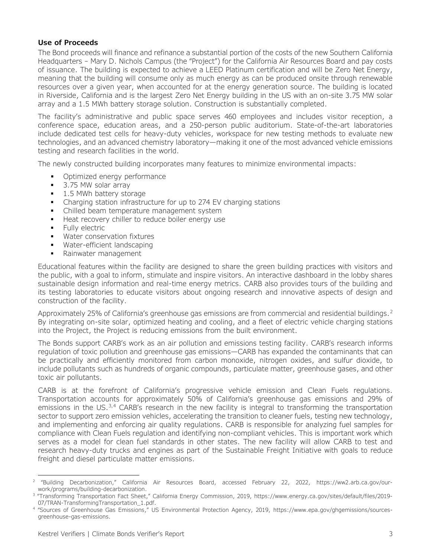#### **Use of Proceeds**

The Bond proceeds will finance and refinance a substantial portion of the costs of the new Southern California Headquarters – Mary D. Nichols Campus (the "Project") for the California Air Resources Board and pay costs of issuance. The building is expected to achieve a LEED Platinum certification and will be Zero Net Energy, meaning that the building will consume only as much energy as can be produced onsite through renewable resources over a given year, when accounted for at the energy generation source. The building is located in Riverside, California and is the largest Zero Net Energy building in the US with an on-site 3.75 MW solar array and a 1.5 MWh battery storage solution. Construction is substantially completed.

The facility's administrative and public space serves 460 employees and includes visitor reception, a conference space, education areas, and a 250-person public auditorium. State-of-the-art laboratories include dedicated test cells for heavy-duty vehicles, workspace for new testing methods to evaluate new technologies, and an advanced chemistry laboratory—making it one of the most advanced vehicle emissions testing and research facilities in the world.

The newly constructed building incorporates many features to minimize environmental impacts:

- Optimized energy performance
- 3.75 MW solar array
- 1.5 MWh battery storage
- Charging station infrastructure for up to 274 EV charging stations
- Chilled beam temperature management system
- Heat recovery chiller to reduce boiler energy use
- **Fully electric**
- **Water conservation fixtures**
- Water-efficient landscaping
- Rainwater management

Educational features within the facility are designed to share the green building practices with visitors and the public, with a goal to inform, stimulate and inspire visitors. An interactive dashboard in the lobby shares sustainable design information and real-time energy metrics. CARB also provides tours of the building and its testing laboratories to educate visitors about ongoing research and innovative aspects of design and construction of the facility.

Approximately [2](#page-4-0)5% of California's greenhouse gas emissions are from commercial and residential buildings.<sup>2</sup> By integrating on-site solar, optimized heating and cooling, and a fleet of electric vehicle charging stations into the Project, the Project is reducing emissions from the built environment.

The Bonds support CARB's work as an air pollution and emissions testing facility. CARB's research informs regulation of toxic pollution and greenhouse gas emissions—CARB has expanded the contaminants that can be practically and efficiently monitored from carbon monoxide, nitrogen oxides, and sulfur dioxide, to include pollutants such as hundreds of organic compounds, particulate matter, greenhouse gases, and other toxic air pollutants.

CARB is at the forefront of California's progressive vehicle emission and Clean Fuels regulations. Transportation accounts for approximately 50% of California's greenhouse gas emissions and 29% of emissions in the US.<sup>3,[4](#page-4-2)</sup> CARB's research in the new facility is integral to transforming the transportation sector to support zero emission vehicles, accelerating the transition to cleaner fuels, testing new technology, and implementing and enforcing air quality regulations. CARB is responsible for analyzing fuel samples for compliance with Clean Fuels regulation and identifying non-compliant vehicles. This is important work which serves as a model for clean fuel standards in other states. The new facility will allow CARB to test and research heavy-duty trucks and engines as part of the Sustainable Freight Initiative with goals to reduce freight and diesel particulate matter emissions.

<span id="page-4-0"></span><sup>&</sup>lt;sup>2</sup> "Building Decarbonization," California Air Resources Board, accessed February 22, 2022, https://ww2.arb.ca.gov/our-<br>work/programs/building-decarbonization.

<span id="page-4-1"></span><sup>&</sup>lt;sup>3</sup> "Transforming Transportation Fact Sheet," California Energy Commission, 2019, [https://www.energy.ca.gov/sites/default/files/2019-](https://www.energy.ca.gov/sites/default/files/2019-07/TRAN-TransformingTransportation_1.pdf) [07/TRAN-TransformingTransportation\\_1.pdf.](https://www.energy.ca.gov/sites/default/files/2019-07/TRAN-TransformingTransportation_1.pdf)

<span id="page-4-2"></span><sup>4</sup> "Sources of Greenhouse Gas Emissions," US Environmental Protection Agency, 2019, [https://www.epa.gov/ghgemissions/sources](https://www.epa.gov/ghgemissions/sources-greenhouse-gas-emissions)[greenhouse-gas-emissions.](https://www.epa.gov/ghgemissions/sources-greenhouse-gas-emissions)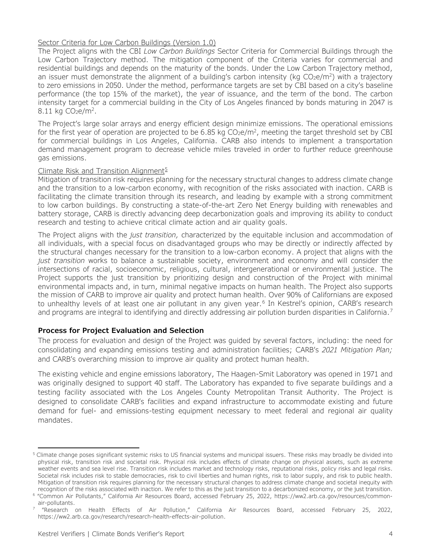#### Sector Criteria for Low Carbon Buildings (Version 1.0)

The Project aligns with the CBI *Low Carbon Buildings* Sector Criteria for Commercial Buildings through the Low Carbon Trajectory method. The mitigation component of the Criteria varies for commercial and residential buildings and depends on the maturity of the bonds. Under the Low Carbon Trajectory method, an issuer must demonstrate the alignment of a building's carbon intensity (kg  $CO<sub>2</sub>e/m<sup>2</sup>$ ) with a trajectory to zero emissions in 2050. Under the method, performance targets are set by CBI based on a city's baseline performance (the top 15% of the market), the year of issuance, and the term of the bond. The carbon intensity target for a commercial building in the City of Los Angeles financed by bonds maturing in 2047 is  $8.11 \text{ kg CO}_2$ e/m<sup>2</sup>.

The Project's large solar arrays and energy efficient design minimize emissions. The operational emissions for the first year of operation are projected to be 6.85 kg  $CO<sub>2</sub>e/m<sup>2</sup>$ , meeting the target threshold set by CBI for commercial buildings in Los Angeles, California. CARB also intends to implement a transportation demand management program to decrease vehicle miles traveled in order to further reduce greenhouse gas emissions.

#### Climate Risk and Transition Alignment $5$

Mitigation of transition risk requires planning for the necessary structural changes to address climate change and the transition to a low-carbon economy, with recognition of the risks associated with inaction. CARB is facilitating the climate transition through its research, and leading by example with a strong commitment to low carbon buildings. By constructing a state-of-the-art Zero Net Energy building with renewables and battery storage, CARB is directly advancing deep decarbonization goals and improving its ability to conduct research and testing to achieve critical climate action and air quality goals.

The Project aligns with the *just transition,* characterized by the equitable inclusion and accommodation of all individuals, with a special focus on disadvantaged groups who may be directly or indirectly affected by the structural changes necessary for the transition to a low-carbon economy. A project that aligns with the *just transition* works to balance a sustainable society, environment and economy and will consider the intersections of racial, socioeconomic, religious, cultural, intergenerational or environmental justice. The Project supports the just transition by prioritizing design and construction of the Project with minimal environmental impacts and, in turn, minimal negative impacts on human health. The Project also supports the mission of CARB to improve air quality and protect human health. Over 90% of Californians are exposed to unhealthy levels of at least one air pollutant in any given year.<sup>[6](#page-5-1)</sup> In Kestrel's opinion, CARB's research and programs are integral to identifying and directly addressing air pollution burden disparities in California.<sup>[7](#page-5-2)</sup>

#### **Process for Project Evaluation and Selection**

The process for evaluation and design of the Project was guided by several factors, including: the need for consolidating and expanding emissions testing and administration facilities; CARB's *2021 Mitigation Plan;* and CARB's overarching mission to improve air quality and protect human health.

The existing vehicle and engine emissions laboratory, The Haagen-Smit Laboratory was opened in 1971 and was originally designed to support 40 staff. The Laboratory has expanded to five separate buildings and a testing facility associated with the Los Angeles County Metropolitan Transit Authority. The Project is designed to consolidate CARB's facilities and expand infrastructure to accommodate existing and future demand for fuel- and emissions-testing equipment necessary to meet federal and regional air quality mandates.

<span id="page-5-0"></span><sup>&</sup>lt;sup>5</sup> Climate change poses significant systemic risks to US financial systems and municipal issuers. These risks may broadly be divided into physical risk, transition risk and societal risk. Physical risk includes effects of climate change on physical assets, such as extreme weather events and sea level rise. Transition risk includes market and technology risks, reputational risks, policy risks and legal risks. Societal risk includes risk to stable democracies, risk to civil liberties and human rights, risk to labor supply, and risk to public health. Mitigation of transition risk requires planning for the necessary structural changes to address climate change and societal inequity with recognition of the risks associated with inaction. We refer to this as the just transition to a decarbonized economy, or the just transition.

<span id="page-5-1"></span><sup>6</sup> "Common Air Pollutants," California Air Resources Board, accessed February 25, 2022, [https://ww2.arb.ca.gov/resources/common](https://ww2.arb.ca.gov/resources/common-air-pollutants)[air-pollutants.](https://ww2.arb.ca.gov/resources/common-air-pollutants)

<span id="page-5-2"></span><sup>7</sup> "Research on Health Effects of Air Pollution," California Air Resources Board, accessed February 25, 2022, https://ww2.arb.ca.gov/research/research-health-effects-air-pollution.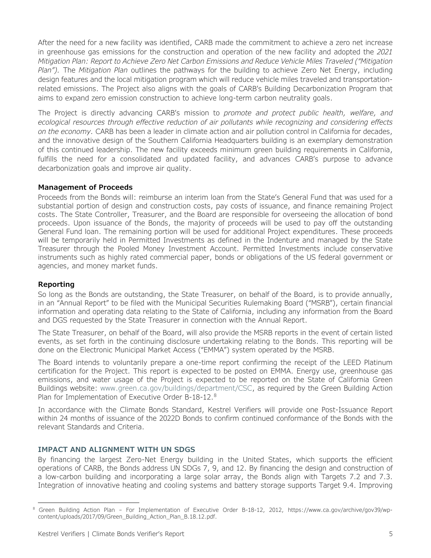After the need for a new facility was identified, CARB made the commitment to achieve a zero net increase in greenhouse gas emissions for the construction and operation of the new facility and adopted the *2021 Mitigation Plan: Report to Achieve Zero Net Carbon Emissions and Reduce Vehicle Miles Traveled ("Mitigation Plan").* The *Mitigation Plan* outlines the pathways for the building to achieve Zero Net Energy, including design features and the local mitigation program which will reduce vehicle miles traveled and transportationrelated emissions. The Project also aligns with the goals of CARB's Building Decarbonization Program that aims to expand zero emission construction to achieve long-term carbon neutrality goals.

The Project is directly advancing CARB's mission to *promote and protect public health, welfare, and ecological resources through effective reduction of air pollutants while recognizing and considering effects on the economy.* CARB has been a leader in climate action and air pollution control in California for decades, and the innovative design of the Southern California Headquarters building is an exemplary demonstration of this continued leadership. The new facility exceeds minimum green building requirements in California, fulfills the need for a consolidated and updated facility, and advances CARB's purpose to advance decarbonization goals and improve air quality.

#### **Management of Proceeds**

Proceeds from the Bonds will: reimburse an interim loan from the State's General Fund that was used for a substantial portion of design and construction costs, pay costs of issuance, and finance remaining Project costs. The State Controller, Treasurer, and the Board are responsible for overseeing the allocation of bond proceeds. Upon issuance of the Bonds, the majority of proceeds will be used to pay off the outstanding General Fund loan. The remaining portion will be used for additional Project expenditures. These proceeds will be temporarily held in Permitted Investments as defined in the Indenture and managed by the State Treasurer through the Pooled Money Investment Account. Permitted Investments include conservative instruments such as highly rated commercial paper, bonds or obligations of the US federal government or agencies, and money market funds.

#### **Reporting**

So long as the Bonds are outstanding, the State Treasurer, on behalf of the Board, is to provide annually, in an "Annual Report" to be filed with the Municipal Securities Rulemaking Board ("MSRB"), certain financial information and operating data relating to the State of California, including any information from the Board and DGS requested by the State Treasurer in connection with the Annual Report.

The State Treasurer, on behalf of the Board, will also provide the MSRB reports in the event of certain listed events, as set forth in the continuing disclosure undertaking relating to the Bonds. This reporting will be done on the Electronic Municipal Market Access ("EMMA") system operated by the MSRB.

The Board intends to voluntarily prepare a one-time report confirming the receipt of the LEED Platinum certification for the Project. This report is expected to be posted on EMMA. Energy use, greenhouse gas emissions, and water usage of the Project is expected to be reported on the State of California Green Buildings website: [www.green.ca.gov/buildings/department/CSC,](http://www.green.ca.gov/buildings/department/CSC) as required by the Green Building Action Plan for Implementation of Executive Order B-1[8](#page-6-0)-12.<sup>8</sup>

In accordance with the Climate Bonds Standard, Kestrel Verifiers will provide one Post-Issuance Report within 24 months of issuance of the 2022D Bonds to confirm continued conformance of the Bonds with the relevant Standards and Criteria.

#### **IMPACT AND ALIGNMENT WITH UN SDGS**

By financing the largest Zero-Net Energy building in the United States, which supports the efficient operations of CARB, the Bonds address UN SDGs 7, 9, and 12. By financing the design and construction of a low-carbon building and incorporating a large solar array, the Bonds align with Targets 7.2 and 7.3. Integration of innovative heating and cooling systems and battery storage supports Target 9.4. Improving

<span id="page-6-0"></span><sup>&</sup>lt;sup>8</sup> Green Building Action Plan - For Implementation of Executive Order B-18-12, 2012, https://www.ca.gov/archive/gov39/wpcontent/uploads/2017/09/Green\_Building\_Action\_Plan\_B.18.12.pdf.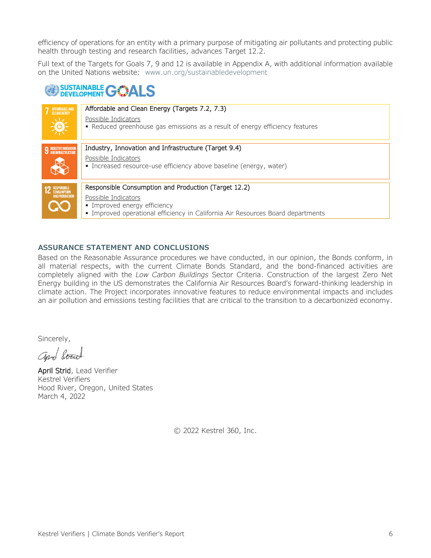efficiency of operations for an entity with a primary purpose of mitigating air pollutants and protecting public health through testing and research facilities, advances Target 12.2.

Full text of the Targets for Goals 7, 9 and 12 is available in Appendix A, with additional information available on the United Nations website: [www.un.org/sustainabledevelopment](http://www.un.org/sustainabledevelopment/)

## **SUSTAINABLE GALS**

| AFFORDABLE AND<br>CLEAN ENERGY                      | Affordable and Clean Energy (Targets 7.2, 7.3)<br>Possible Indicators<br>• Reduced greenhouse gas emissions as a result of energy efficiency features                                          |
|-----------------------------------------------------|------------------------------------------------------------------------------------------------------------------------------------------------------------------------------------------------|
| <b>9 INDUSTRY, INNOVATION</b>                       | Industry, Innovation and Infrastructure (Target 9.4)<br>Possible Indicators<br>• Increased resource-use efficiency above baseline (energy, water)                                              |
| <b>RESPONSIBLE</b><br>CONSUMPTION<br>AND PRODUCTION | Responsible Consumption and Production (Target 12.2)<br>Possible Indicators<br>• Improved energy efficiency<br>• Improved operational efficiency in California Air Resources Board departments |

#### **ASSURANCE STATEMENT AND CONCLUSIONS**

Based on the Reasonable Assurance procedures we have conducted, in our opinion, the Bonds conform, in all material respects, with the current Climate Bonds Standard, and the bond-financed activities are completely aligned with the *Low Carbon Buildings* Sector Criteria. Construction of the largest Zero Net Energy building in the US demonstrates the California Air Resources Board's forward-thinking leadership in climate action. The Project incorporates innovative features to reduce environmental impacts and includes an air pollution and emissions testing facilities that are critical to the transition to a decarbonized economy.

Sincerely,

aprel board

April Strid, Lead Verifier Kestrel Verifiers Hood River, Oregon, United States March 4, 2022

© 2022 Kestrel 360, Inc.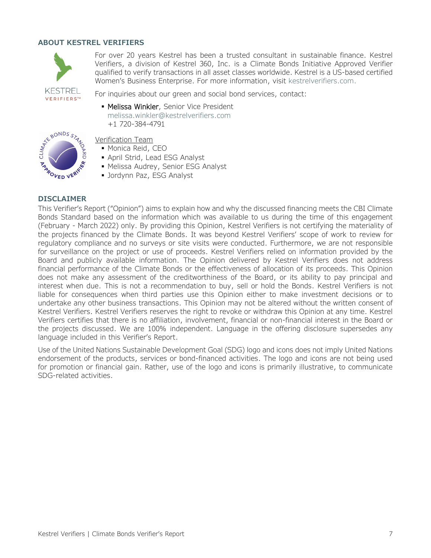#### **ABOUT KESTREL VERIFIERS**



For over 20 years Kestrel has been a trusted consultant in sustainable finance. Kestrel Verifiers, a division of Kestrel 360, Inc. is a Climate Bonds Initiative Approved Verifier qualified to verify transactions in all asset classes worldwide. Kestrel is a US-based certified Women's Business Enterprise. For more information, visit [kestrelverifiers.com.](https://kestrelverifiers.com/)

**VERIFIERS™** 

For inquiries about our green and social bond services, contact:

**Melissa Winkler, Senior Vice President** [melissa.winkler@kestrelverifiers.com](mailto:melissa.winkler@kestrelverifiers.com) +1 720-384-4791



### Verification Team

- **Monica Reid, CEO**
- April Strid, Lead ESG Analyst
- Melissa Audrey, Senior ESG Analyst
- **Jordynn Paz, ESG Analyst**

#### **DISCLAIMER**

This Verifier's Report ("Opinion") aims to explain how and why the discussed financing meets the CBI Climate Bonds Standard based on the information which was available to us during the time of this engagement (February - March 2022) only. By providing this Opinion, Kestrel Verifiers is not certifying the materiality of the projects financed by the Climate Bonds. It was beyond Kestrel Verifiers' scope of work to review for regulatory compliance and no surveys or site visits were conducted. Furthermore, we are not responsible for surveillance on the project or use of proceeds. Kestrel Verifiers relied on information provided by the Board and publicly available information. The Opinion delivered by Kestrel Verifiers does not address financial performance of the Climate Bonds or the effectiveness of allocation of its proceeds. This Opinion does not make any assessment of the creditworthiness of the Board, or its ability to pay principal and interest when due. This is not a recommendation to buy, sell or hold the Bonds. Kestrel Verifiers is not liable for consequences when third parties use this Opinion either to make investment decisions or to undertake any other business transactions. This Opinion may not be altered without the written consent of Kestrel Verifiers. Kestrel Verifiers reserves the right to revoke or withdraw this Opinion at any time. Kestrel Verifiers certifies that there is no affiliation, involvement, financial or non-financial interest in the Board or the projects discussed. We are 100% independent. Language in the offering disclosure supersedes any language included in this Verifier's Report.

Use of the United Nations Sustainable Development Goal (SDG) logo and icons does not imply United Nations endorsement of the products, services or bond-financed activities. The logo and icons are not being used for promotion or financial gain. Rather, use of the logo and icons is primarily illustrative, to communicate SDG-related activities.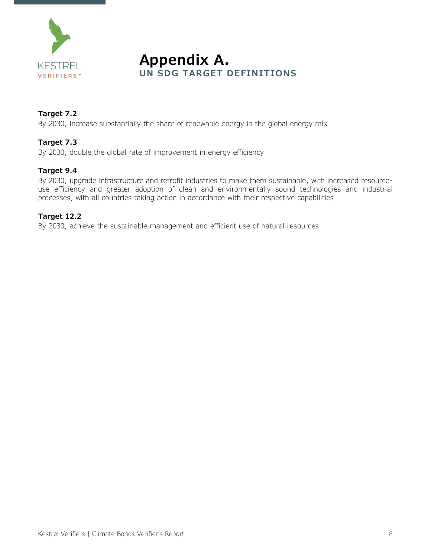

**Appendix A.**<br>UN SDG TARGET DEFINITIONS

#### **Target 7.2**

By 2030, increase substantially the share of renewable energy in the global energy mix

#### **Target 7.3**

By 2030, double the global rate of improvement in energy efficiency

#### **Target 9.4**

By 2030, upgrade infrastructure and retrofit industries to make them sustainable, with increased resourceuse efficiency and greater adoption of clean and environmentally sound technologies and industrial processes, with all countries taking action in accordance with their respective capabilities

#### **Target 12.2**

By 2030, achieve the sustainable management and efficient use of natural resources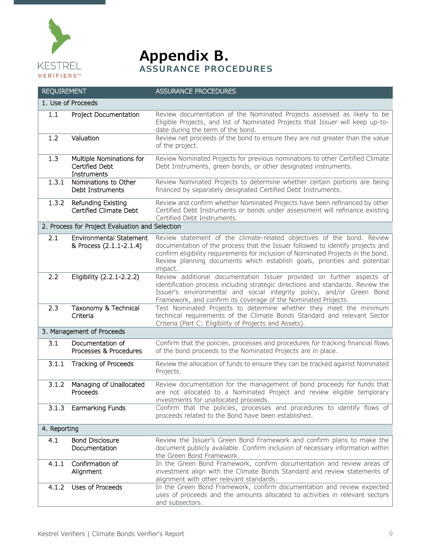

**Appendix B.**<br>ASSURANCE PROCEDURES

| <b>REQUIREMENT</b>                              |                                                           | <b>ASSURANCE PROCEDURES</b>                                                                                                                                                                                                                                                                                                           |  |  |
|-------------------------------------------------|-----------------------------------------------------------|---------------------------------------------------------------------------------------------------------------------------------------------------------------------------------------------------------------------------------------------------------------------------------------------------------------------------------------|--|--|
| 1. Use of Proceeds                              |                                                           |                                                                                                                                                                                                                                                                                                                                       |  |  |
| 1.1                                             | Project Documentation                                     | Review documentation of the Nominated Projects assessed as likely to be<br>Eligible Projects, and list of Nominated Projects that Issuer will keep up-to-<br>date during the term of the bond.                                                                                                                                        |  |  |
| 1.2                                             | Valuation                                                 | Review net proceeds of the bond to ensure they are not greater than the value<br>of the project.                                                                                                                                                                                                                                      |  |  |
| 1.3                                             | Multiple Nominations for<br>Certified Debt<br>Instruments | Review Nominated Projects for previous nominations to other Certified Climate<br>Debt Instruments, green bonds, or other designated instruments.                                                                                                                                                                                      |  |  |
| 1.3.1                                           | Nominations to Other<br>Debt Instruments                  | Review Nominated Projects to determine whether certain portions are being<br>financed by separately designated Certified Debt Instruments.                                                                                                                                                                                            |  |  |
| 1.3.2                                           | Refunding Existing<br>Certified Climate Debt              | Review and confirm whether Nominated Projects have been refinanced by other<br>Certified Debt Instruments or bonds under assessment will refinance existing<br>Certified Debt Instruments.                                                                                                                                            |  |  |
| 2. Process for Project Evaluation and Selection |                                                           |                                                                                                                                                                                                                                                                                                                                       |  |  |
| 2.1                                             | <b>Environmental Statement</b><br>& Process (2.1.1-2.1.4) | Review statement of the climate-related objectives of the bond. Review<br>documentation of the process that the Issuer followed to identify projects and<br>confirm eligibility requirements for inclusion of Nominated Projects in the bond.<br>Review planning documents which establish goals, priorities and potential<br>impact. |  |  |
| 2.2                                             | Eligibility (2.2.1-2.2.2)                                 | Review additional documentation Issuer provided on further aspects of<br>identification process including strategic directions and standards. Review the<br>Issuer's environmental and social integrity policy, and/or Green Bond<br>Framework, and confirm its coverage of the Nominated Projects.                                   |  |  |
| 2.3                                             | Taxonomy & Technical<br>Criteria                          | Test Nominated Projects to determine whether they meet the minimum<br>technical requirements of the Climate Bonds Standard and relevant Sector<br>Criteria (Part C: Eligibility of Projects and Assets).                                                                                                                              |  |  |
| 3. Management of Proceeds                       |                                                           |                                                                                                                                                                                                                                                                                                                                       |  |  |
| 3.1                                             | Documentation of<br>Processes & Procedures                | Confirm that the policies, processes and procedures for tracking financial flows<br>of the bond proceeds to the Nominated Projects are in place.                                                                                                                                                                                      |  |  |
| 3.1.1                                           | Tracking of Proceeds                                      | Review the allocation of funds to ensure they can be tracked against Nominated<br>Projects.                                                                                                                                                                                                                                           |  |  |
| 3.1.2                                           | Managing of Unallocated<br>Proceeds                       | Review documentation for the management of bond proceeds for funds that<br>are not allocated to a Nominated Project and review eligible temporary<br>investments for unallocated proceeds.                                                                                                                                            |  |  |
| 3.1.3                                           | Earmarking Funds                                          | Confirm that the policies, processes and procedures to identify flows of<br>proceeds related to the Bond have been established.                                                                                                                                                                                                       |  |  |
| 4. Reporting                                    |                                                           |                                                                                                                                                                                                                                                                                                                                       |  |  |
| 4.1                                             | <b>Bond Disclosure</b><br>Documentation                   | Review the Issuer's Green Bond Framework and confirm plans to make the<br>document publicly available. Confirm inclusion of necessary information within<br>the Green Bond Framework.                                                                                                                                                 |  |  |
| 4.1.1                                           | Confirmation of<br>Alignment                              | In the Green Bond Framework, confirm documentation and review areas of<br>investment align with the Climate Bonds Standard and review statements of<br>alignment with other relevant standards.                                                                                                                                       |  |  |
| 4.1.2                                           | Uses of Proceeds                                          | In the Green Bond Framework, confirm documentation and review expected<br>uses of proceeds and the amounts allocated to activities in relevant sectors<br>and subsectors.                                                                                                                                                             |  |  |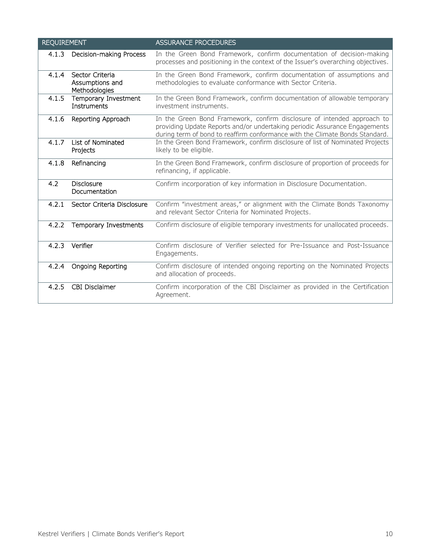| <b>REQUIREMENT</b> |                                                     | <b>ASSURANCE PROCEDURES</b>                                                                                                                                                                                                           |
|--------------------|-----------------------------------------------------|---------------------------------------------------------------------------------------------------------------------------------------------------------------------------------------------------------------------------------------|
| 4.1.3              | Decision-making Process                             | In the Green Bond Framework, confirm documentation of decision-making<br>processes and positioning in the context of the Issuer's overarching objectives.                                                                             |
| 4.1.4              | Sector Criteria<br>Assumptions and<br>Methodologies | In the Green Bond Framework, confirm documentation of assumptions and<br>methodologies to evaluate conformance with Sector Criteria.                                                                                                  |
| 4.1.5              | Temporary Investment<br>Instruments                 | In the Green Bond Framework, confirm documentation of allowable temporary<br>investment instruments.                                                                                                                                  |
| 4.1.6              | Reporting Approach                                  | In the Green Bond Framework, confirm disclosure of intended approach to<br>providing Update Reports and/or undertaking periodic Assurance Engagements<br>during term of bond to reaffirm conformance with the Climate Bonds Standard. |
| 4.1.7              | List of Nominated<br>Projects                       | In the Green Bond Framework, confirm disclosure of list of Nominated Projects<br>likely to be eligible.                                                                                                                               |
| 4.1.8              | Refinancing                                         | In the Green Bond Framework, confirm disclosure of proportion of proceeds for<br>refinancing, if applicable.                                                                                                                          |
| 4.2                | <b>Disclosure</b><br>Documentation                  | Confirm incorporation of key information in Disclosure Documentation.                                                                                                                                                                 |
| 4.2.1              | Sector Criteria Disclosure                          | Confirm "investment areas," or alignment with the Climate Bonds Taxonomy<br>and relevant Sector Criteria for Nominated Projects.                                                                                                      |
| 4.2.2              | Temporary Investments                               | Confirm disclosure of eligible temporary investments for unallocated proceeds.                                                                                                                                                        |
| 4.2.3              | Verifier                                            | Confirm disclosure of Verifier selected for Pre-Issuance and Post-Issuance<br>Engagements.                                                                                                                                            |
| 4.2.4              | Ongoing Reporting                                   | Confirm disclosure of intended ongoing reporting on the Nominated Projects<br>and allocation of proceeds.                                                                                                                             |
| 4.2.5              | <b>CBI Disclaimer</b>                               | Confirm incorporation of the CBI Disclaimer as provided in the Certification<br>Agreement.                                                                                                                                            |